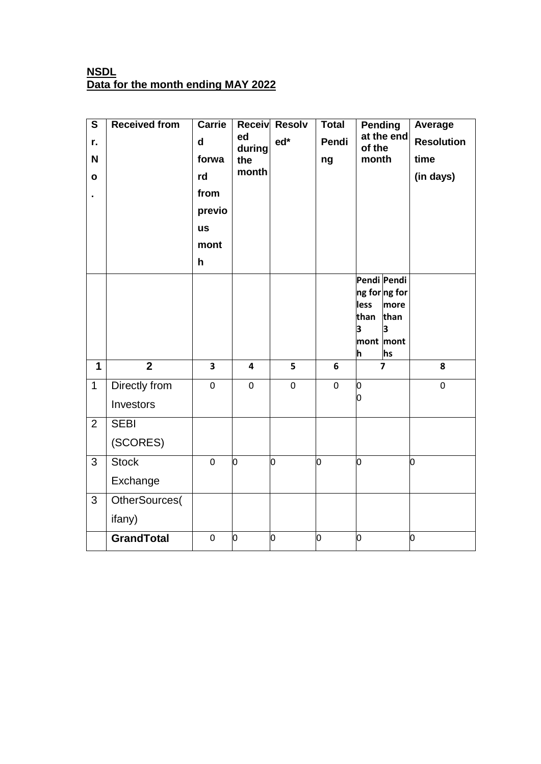## **NSDL Data for the month ending MAY 2022**

| $\overline{\mathbf{s}}$ | <b>Received from</b> | <b>Carrie</b>           | <b>Receiv</b> | <b>Resolv</b> | <b>Total</b> | Pending              |                       | Average           |
|-------------------------|----------------------|-------------------------|---------------|---------------|--------------|----------------------|-----------------------|-------------------|
| r.                      |                      | $\mathbf d$             | ed<br>during  | ed*           | Pendi        | at the end<br>of the |                       | <b>Resolution</b> |
| N                       |                      | forwa                   | the           |               | ng           | month                |                       | time              |
| O                       |                      | rd                      | month         |               |              |                      |                       | (in days)         |
|                         |                      | from                    |               |               |              |                      |                       |                   |
|                         |                      | previo                  |               |               |              |                      |                       |                   |
|                         |                      | <b>us</b>               |               |               |              |                      |                       |                   |
|                         |                      | mont                    |               |               |              |                      |                       |                   |
|                         |                      | h                       |               |               |              |                      |                       |                   |
|                         |                      |                         |               |               |              |                      | Pendi Pendi           |                   |
|                         |                      |                         |               |               |              | less                 | ng for ng for<br>more |                   |
|                         |                      |                         |               |               |              | than                 | than                  |                   |
|                         |                      |                         |               |               |              | з                    | 3                     |                   |
|                         |                      |                         |               |               |              | h                    | mont mont<br>hs       |                   |
| 1                       | $\overline{2}$       | $\overline{\mathbf{3}}$ | 4             | 5             | 6            |                      | $\overline{7}$        | 8                 |
| $\mathbf{1}$            | Directly from        | 0                       | 0             | $\mathbf 0$   | $\mathbf 0$  | o                    |                       | $\pmb{0}$         |
|                         | Investors            |                         |               |               |              | Ю                    |                       |                   |
| $\overline{2}$          | <b>SEBI</b>          |                         |               |               |              |                      |                       |                   |
|                         | (SCORES)             |                         |               |               |              |                      |                       |                   |
| 3                       | <b>Stock</b>         | $\mathbf 0$             | Ю             | O             | ю            | Ю                    |                       | lо                |
|                         | Exchange             |                         |               |               |              |                      |                       |                   |
| 3                       | OtherSources(        |                         |               |               |              |                      |                       |                   |
|                         | ifany)               |                         |               |               |              |                      |                       |                   |
|                         | <b>GrandTotal</b>    | 0                       | О             | О             | o            | Ю                    |                       | o                 |